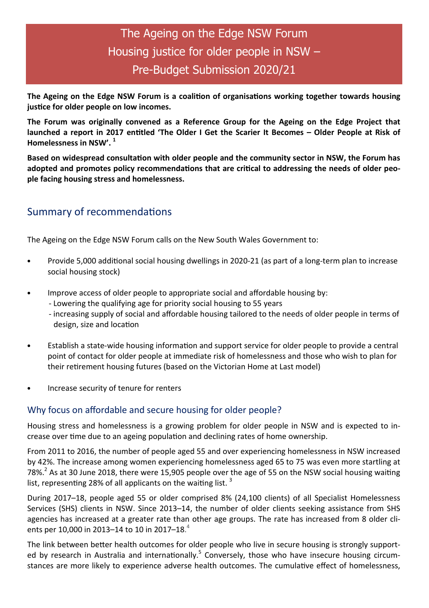# The Ageing on the Edge NSW Forum Housing justice for older people in NSW – Pre-Budget Submission 2020/21

The Ageing on the Edge NSW Forum is a coalition of organisations working together towards housing justice for older people on low incomes.

The Forum was originally convened as a Reference Group for the Ageing on the Edge Project that launched a report in 2017 entitled 'The Older I Get the Scarier It Becomes - Older People at Risk of Homelessness in NSW'.  $1$ 

Based on widespread consultation with older people and the community sector in NSW, the Forum has adopted and promotes policy recommendations that are critical to addressing the needs of older people facing housing stress and homelessness.

# Summary of recommendations

The Ageing on the Edge NSW Forum calls on the New South Wales Government to:

- Provide 5,000 additional social housing dwellings in 2020-21 (as part of a long-term plan to increase social housing stock)
- Improve access of older people to appropriate social and affordable housing by:
	- Lowering the qualifying age for priority social housing to 55 years
	- increasing supply of social and affordable housing tailored to the needs of older people in terms of design, size and location
- Establish a state-wide housing information and support service for older people to provide a central point of contact for older people at immediate risk of homelessness and those who wish to plan for their retirement housing futures (based on the Victorian Home at Last model)
- Increase security of tenure for renters

### Why focus on affordable and secure housing for older people?

Housing stress and homelessness is a growing problem for older people in NSW and is expected to increase over time due to an ageing population and declining rates of home ownership.

From 2011 to 2016, the number of people aged 55 and over experiencing homelessness in NSW increased by 42%. The increase among women experiencing homelessness aged 65 to 75 was even more startling at 78%.<sup>2</sup> As at 30 June 2018, there were 15,905 people over the age of 55 on the NSW social housing waiting list, representing 28% of all applicants on the waiting list.  $3$ 

During 2017–18, people aged 55 or older comprised 8% (24,100 clients) of all Specialist Homelessness Services (SHS) clients in NSW. Since 2013–14, the number of older clients seeking assistance from SHS agencies has increased at a greater rate than other age groups. The rate has increased from 8 older clients per 10,000 in 2013–14 to 10 in 2017–18. $^{4}$ 

The link between better health outcomes for older people who live in secure housing is strongly supported by research in Australia and internationally.<sup>5</sup> Conversely, those who have insecure housing circumstances are more likely to experience adverse health outcomes. The cumulative effect of homelessness,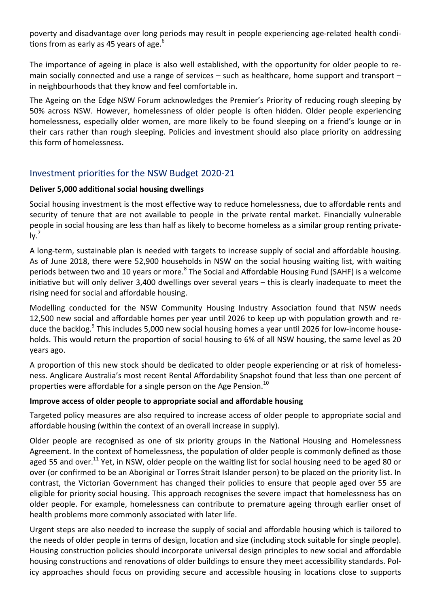poverty and disadvantage over long periods may result in people experiencing age-related health condi tions from as early as 45 years of age. $6$ 

The importance of ageing in place is also well established, with the opportunity for older people to remain socially connected and use a range of services – such as healthcare, home support and transport – in neighbourhoods that they know and feel comfortable in.

The Ageing on the Edge NSW Forum acknowledges the Premier's Priority of reducing rough sleeping by 50% across NSW. However, homelessness of older people is often hidden. Older people experiencing homelessness, especially older women, are more likely to be found sleeping on a friend's lounge or in their cars rather than rough sleeping. Policies and investment should also place priority on addressing this form of homelessness.

## Investment priorities for the NSW Budget 2020-21

#### Deliver 5,000 additional social housing dwellings

Social housing investment is the most effective way to reduce homelessness, due to affordable rents and security of tenure that are not available to people in the private rental market. Financially vulnerable people in social housing are less than half as likely to become homeless as a similar group renting private- $\mathsf{Iv.}^7$ 

A long-term, sustainable plan is needed with targets to increase supply of social and affordable housing. As of June 2018, there were 52,900 households in NSW on the social housing waiting list, with waiting periods between two and 10 years or more.<sup>8</sup> The Social and Affordable Housing Fund (SAHF) is a welcome initiative but will only deliver 3,400 dwellings over several years - this is clearly inadequate to meet the rising need for social and affordable housing.

Modelling conducted for the NSW Community Housing Industry Association found that NSW needs 12,500 new social and affordable homes per year until 2026 to keep up with population growth and reduce the backlog.<sup>9</sup> This includes 5,000 new social housing homes a year until 2026 for low-income households. This would return the proportion of social housing to 6% of all NSW housing, the same level as 20 years ago.

A proportion of this new stock should be dedicated to older people experiencing or at risk of homelessness. Anglicare Australia's most recent Rental Affordability Snapshot found that less than one percent of properties were affordable for a single person on the Age Pension.<sup>10</sup>

#### Improve access of older people to appropriate social and affordable housing

Targeted policy measures are also required to increase access of older people to appropriate social and affordable housing (within the context of an overall increase in supply).

Older people are recognised as one of six priority groups in the National Housing and Homelessness Agreement. In the context of homelessness, the population of older people is commonly defined as those aged 55 and over.<sup>11</sup> Yet, in NSW, older people on the waiting list for social housing need to be aged 80 or over (or confirmed to be an Aboriginal or Torres Strait Islander person) to be placed on the priority list. In contrast, the Victorian Government has changed their policies to ensure that people aged over 55 are eligible for priority social housing. This approach recognises the severe impact that homelessness has on older people. For example, homelessness can contribute to premature ageing through earlier onset of health problems more commonly associated with later life.

Urgent steps are also needed to increase the supply of social and affordable housing which is tailored to the needs of older people in terms of design, location and size (including stock suitable for single people). Housing construction policies should incorporate universal design principles to new social and affordable housing constructions and renovations of older buildings to ensure they meet accessibility standards. Policy approaches should focus on providing secure and accessible housing in locations close to supports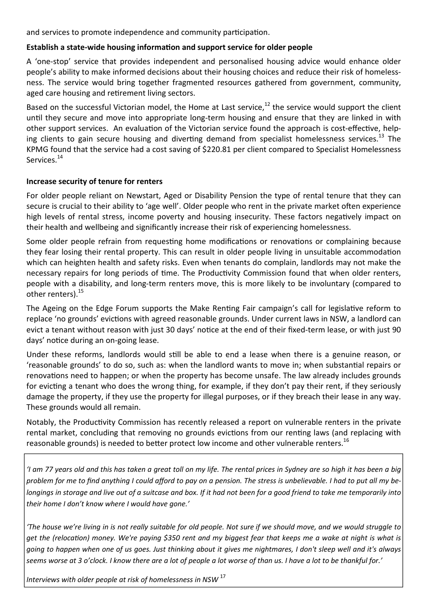and services to promote independence and community participation.

#### Establish a state-wide housing information and support service for older people

A 'one-stop' service that provides independent and personalised housing advice would enhance older people's ability to make informed decisions about their housing choices and reduce their risk of homelessness. The service would bring together fragmented resources gathered from government, community, aged care housing and retirement living sectors.

Based on the successful Victorian model, the Home at Last service.<sup>12</sup> the service would support the client until they secure and move into appropriate long-term housing and ensure that they are linked in with other support services. An evaluation of the Victorian service found the approach is cost-effective, helping clients to gain secure housing and diverting demand from specialist homelessness services.<sup>13</sup> The KPMG found that the service had a cost saving of \$220.81 per client compared to Specialist Homelessness Services.<sup>14</sup>

#### Increase security of tenure for renters

For older people reliant on Newstart, Aged or Disability Pension the type of rental tenure that they can secure is crucial to their ability to 'age well'. Older people who rent in the private market often experience high levels of rental stress, income poverty and housing insecurity. These factors negatively impact on their health and wellbeing and significantly increase their risk of experiencing homelessness.

Some older people refrain from requesting home modifications or renovations or complaining because they fear losing their rental property. This can result in older people living in unsuitable accommodation which can heighten health and safety risks. Even when tenants do complain, landlords may not make the necessary repairs for long periods of time. The Productivity Commission found that when older renters, people with a disability, and long-term renters move, this is more likely to be involuntary (compared to other renters).<sup>15</sup>

The Ageing on the Edge Forum supports the Make Renting Fair campaign's call for legislative reform to replace 'no grounds' evictions with agreed reasonable grounds. Under current laws in NSW, a landlord can evict a tenant without reason with just 30 days' notice at the end of their fixed-term lease, or with just 90 days' notice during an on-going lease.

Under these reforms, landlords would still be able to end a lease when there is a genuine reason, or 'reasonable grounds' to do so, such as: when the landlord wants to move in; when substantial repairs or renovations need to happen; or when the property has become unsafe. The law already includes grounds for evicting a tenant who does the wrong thing, for example, if they don't pay their rent, if they seriously damage the property, if they use the property for illegal purposes, or if they breach their lease in any way. These grounds would all remain.

Notably, the Productivity Commission has recently released a report on vulnerable renters in the private rental market, concluding that removing no grounds evictions from our renting laws (and replacing with reasonable grounds) is needed to better protect low income and other vulnerable renters.<sup>16</sup>

'I am 77 years old and this has taken a great toll on my life. The rental prices in Sydney are so high it has been a big problem for me to find anything I could afford to pay on a pension. The stress is unbelievable. I had to put all my belongings in storage and live out of a suitcase and box. If it had not been for a good friend to take me temporarily into their home I don't know where I would have gone.'

'The house we're living in is not really suitable for old people. Not sure if we should move, and we would struggle to get the (relocation) money. We're paying \$350 rent and my biggest fear that keeps me a wake at night is what is going to happen when one of us goes. Just thinking about it gives me nightmares, I don't sleep well and it's always seems worse at 3 o'clock. I know there are a lot of people a lot worse of than us. I have a lot to be thankful for.'

Interviews with older people at risk of homelessness in NSW  $^{17}$